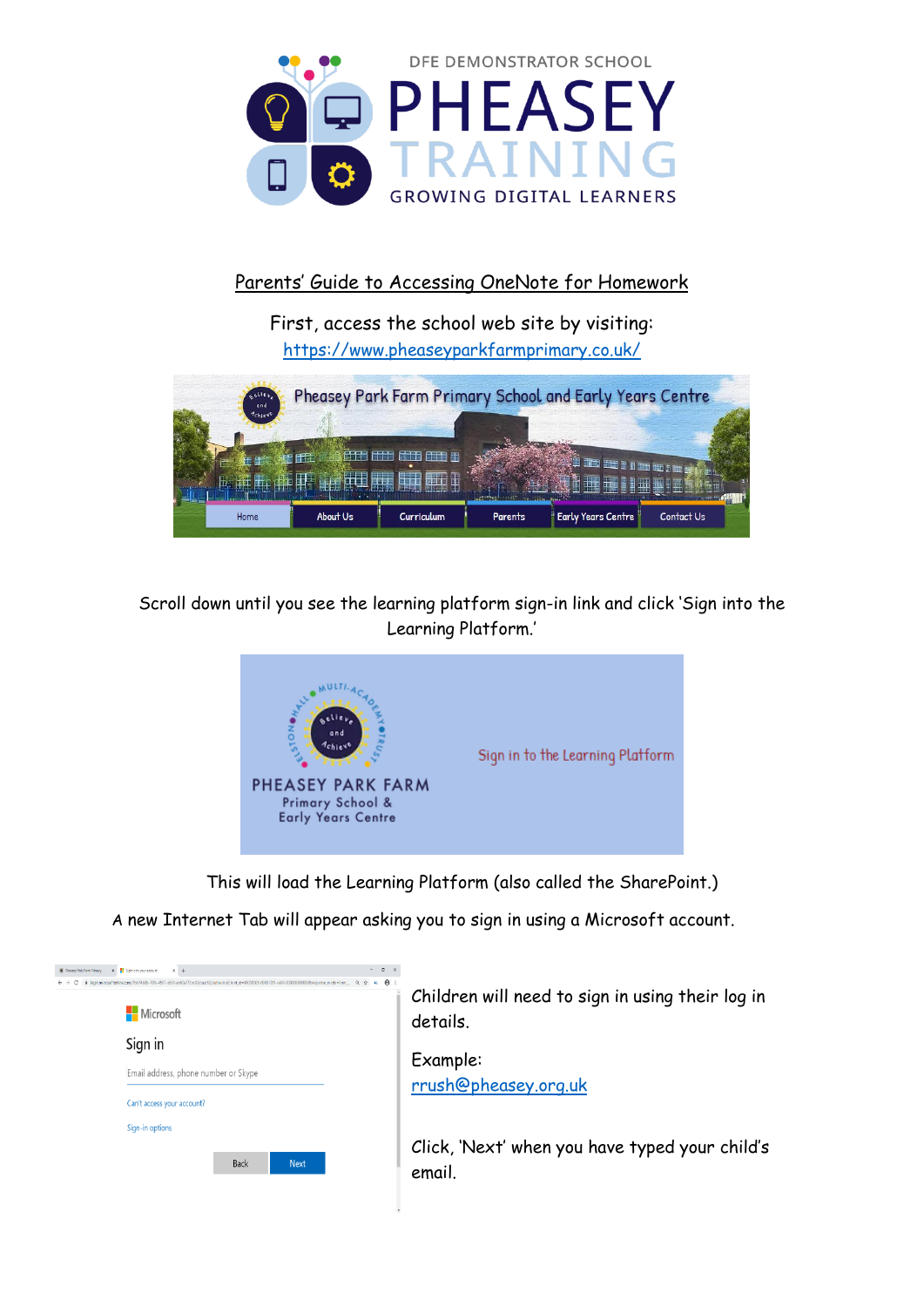

## Parents' Guide to Accessing OneNote for Homework

First, access the school web site by visiting: <https://www.pheaseyparkfarmprimary.co.uk/>



Scroll down until you see the learning platform sign-in link and click 'Sign into the Learning Platform.'



This will load the Learning Platform (also called the SharePoint.)

A new Internet Tab will appear asking you to sign in using a Microsoft account.

| C Pheasey Park Farm Primary | X Sign in to your account<br>x       |  |             |                                                                                                                                                          |  |  |  |  |          |  |
|-----------------------------|--------------------------------------|--|-------------|----------------------------------------------------------------------------------------------------------------------------------------------------------|--|--|--|--|----------|--|
|                             |                                      |  |             | ii login.microsoftartine.com/7bb74b0-70fe-4507-a530-ae60a772ce02/cauth2/authorizeR:lent-id=00000003-0010-0ff1-ce00-00000000000000000ersponse-mode+form @ |  |  |  |  | $\theta$ |  |
|                             | <b>Nicrosoft</b>                     |  |             |                                                                                                                                                          |  |  |  |  |          |  |
|                             | Sign in                              |  |             |                                                                                                                                                          |  |  |  |  |          |  |
|                             | Email address, phone number or Skype |  |             |                                                                                                                                                          |  |  |  |  |          |  |
|                             | Can't access your account?           |  |             |                                                                                                                                                          |  |  |  |  |          |  |
|                             | Sign-in options                      |  |             |                                                                                                                                                          |  |  |  |  |          |  |
|                             |                                      |  | <b>Back</b> | <b>Next</b>                                                                                                                                              |  |  |  |  |          |  |

Children will need to sign in using their log in details.

Example: [rrush@pheasey.org.uk](mailto:rrush@pheasey.org.uk)

Click, 'Next' when you have typed your child's email.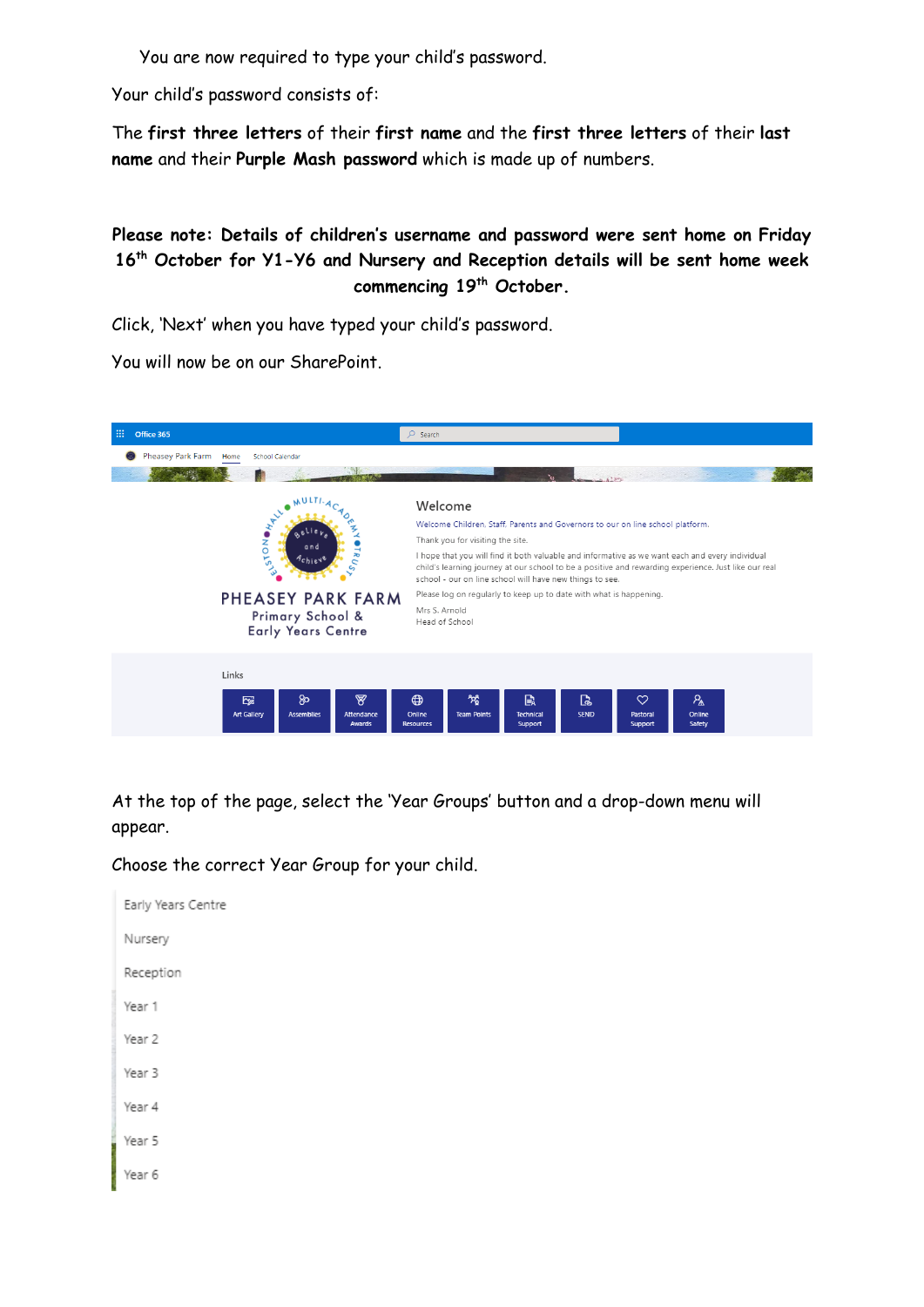You are now required to type your child's password.

Your child's password consists of:

The **first three letters** of their **first name** and the **first three letters** of their **last name** and their **Purple Mash password** which is made up of numbers.

**Please note: Details of children's username and password were sent home on Friday 16th October for Y1-Y6 and Nursery and Reception details will be sent home week commencing 19th October.**

Click, 'Next' when you have typed your child's password.

You will now be on our SharePoint.



At the top of the page, select the 'Year Groups' button and a drop-down menu will appear.

Choose the correct Year Group for your child.

Early Years Centre Nursery Reception Year 1 Year 2 Year 3 Year 4 Year 5 Year 6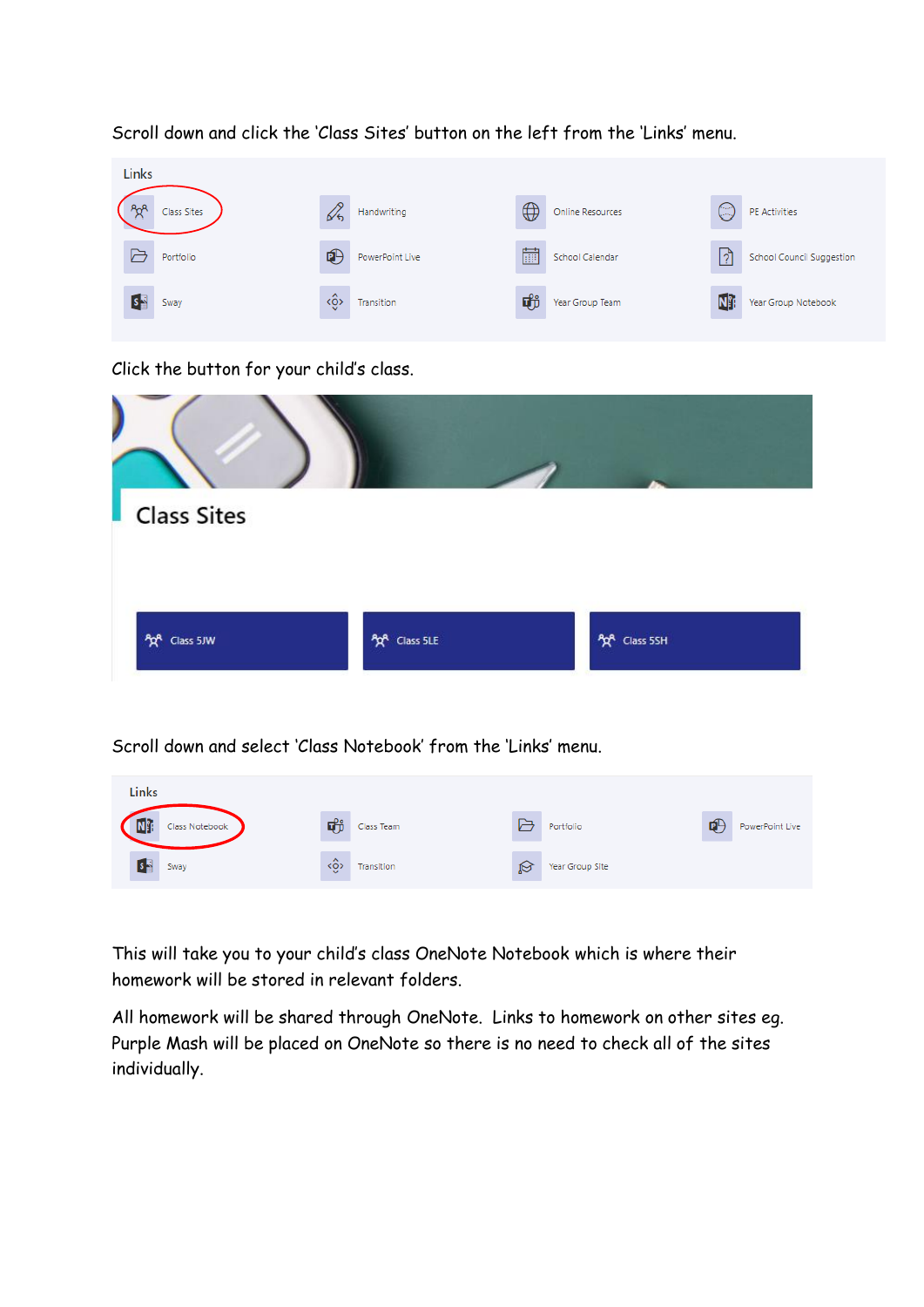

Scroll down and click the 'Class Sites' button on the left from the 'Links' menu.

Click the button for your child's class.

| Class Sites  |                            |              |  |
|--------------|----------------------------|--------------|--|
| AR Class 5JW | A <sub>2</sub> A Class 5LE | AR Class 5SH |  |

## Scroll down and select 'Class Notebook' from the 'Links' menu.

| <b>Links</b>   |               |            |   |                 |   |                 |
|----------------|---------------|------------|---|-----------------|---|-----------------|
| Class Notebook | 動             | Class Team |   | Portfolio       | 吧 | PowerPoint Live |
| Sway           | $\sim$<br>kÔ) | Transition | Ø | Year Group Site |   |                 |

This will take you to your child's class OneNote Notebook which is where their homework will be stored in relevant folders.

All homework will be shared through OneNote. Links to homework on other sites eg. Purple Mash will be placed on OneNote so there is no need to check all of the sites individually.